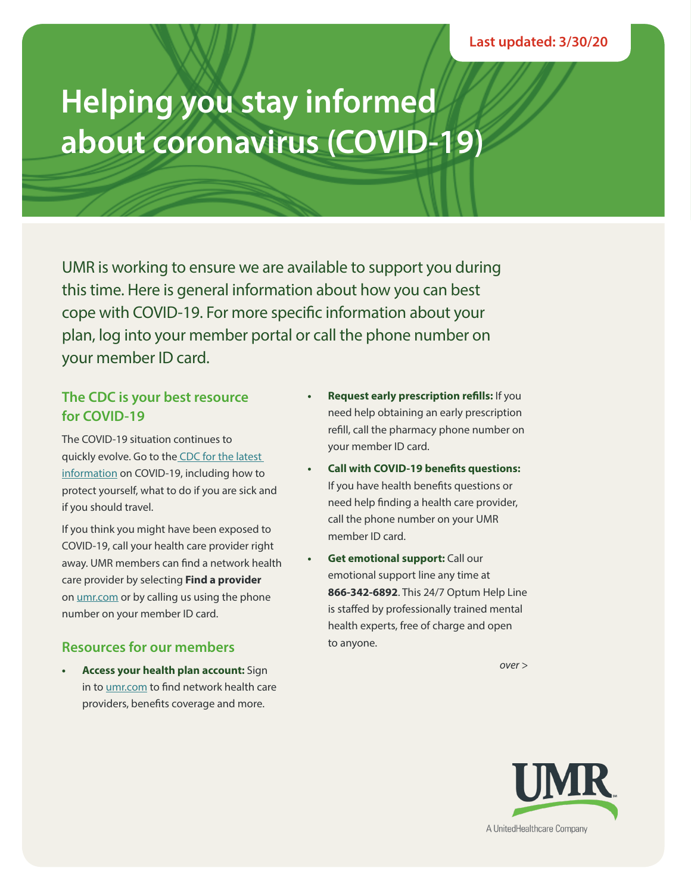# **Helping you stay informed about coronavirus (COVID-19)**

UMR is working to ensure we are available to support you during this time. Here is general information about how you can best cope with COVID-19. For more specific information about your plan, log into your member portal or call the phone number on your member ID card.

## **The CDC is your best resource for COVID-19**

The COVID-19 situation continues to quickly evolve. Go to the CDC for the latest information on COVID-19, including how to protect yourself, what to do if you are sick and if you should travel.

If you think you might have been exposed to COVID-19, call your health care provider right away. UMR members can find a network health care provider by selecting **Find a provider**  on umr.com or by calling us using the phone number on your member ID card.

## **Resources for our members**

**• Access your health plan account:** Sign in to umr.com to find network health care providers, benefits coverage and more.

- **• Request early prescription refills:** If you need help obtaining an early prescription refill, call the pharmacy phone number on your member ID card.
- **• Call with COVID-19 benefits questions:** If you have health benefits questions or need help finding a health care provider, call the phone number on your UMR member ID card.
- **• Get emotional support:** Call our emotional support line any time at **866-342-6892**. This 24/7 Optum Help Line is staffed by professionally trained mental health experts, free of charge and open to anyone.

*over >*